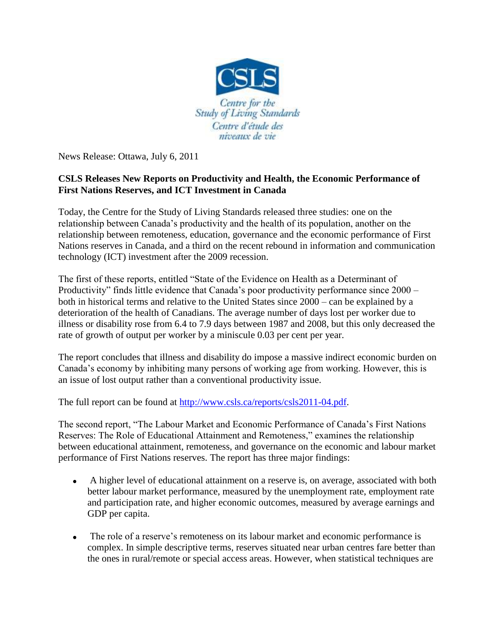

News Release: Ottawa, July 6, 2011

## **CSLS Releases New Reports on Productivity and Health, the Economic Performance of First Nations Reserves, and ICT Investment in Canada**

Today, the Centre for the Study of Living Standards released three studies: one on the relationship between Canada's productivity and the health of its population, another on the relationship between remoteness, education, governance and the economic performance of First Nations reserves in Canada, and a third on the recent rebound in information and communication technology (ICT) investment after the 2009 recession.

The first of these reports, entitled "State of the Evidence on Health as a Determinant of Productivity" finds little evidence that Canada's poor productivity performance since 2000 – both in historical terms and relative to the United States since 2000 – can be explained by a deterioration of the health of Canadians. The average number of days lost per worker due to illness or disability rose from 6.4 to 7.9 days between 1987 and 2008, but this only decreased the rate of growth of output per worker by a miniscule 0.03 per cent per year.

The report concludes that illness and disability do impose a massive indirect economic burden on Canada's economy by inhibiting many persons of working age from working. However, this is an issue of lost output rather than a conventional productivity issue.

The full report can be found at [http://www.csls.ca/reports/csls2011-04.pdf.](http://www.csls.ca/reports/csls2011-04.pdf)

The second report, "The Labour Market and Economic Performance of Canada's First Nations Reserves: The Role of Educational Attainment and Remoteness," examines the relationship between educational attainment, remoteness, and governance on the economic and labour market performance of First Nations reserves. The report has three major findings:

- A higher level of educational attainment on a reserve is, on average, associated with both better labour market performance, measured by the unemployment rate, employment rate and participation rate, and higher economic outcomes, measured by average earnings and GDP per capita.
- $\bullet$ The role of a reserve's remoteness on its labour market and economic performance is complex. In simple descriptive terms, reserves situated near urban centres fare better than the ones in rural/remote or special access areas. However, when statistical techniques are